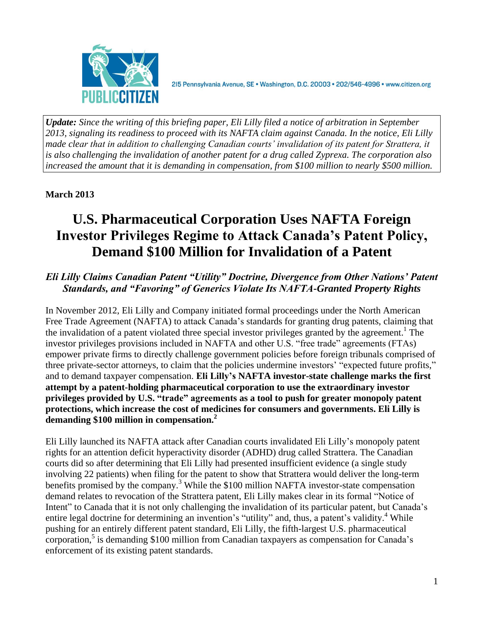

215 Pennsylvania Avenue, SE · Washington, D.C. 20003 · 202/546-4996 · www.citizen.org

*Update: Since the writing of this briefing paper, Eli Lilly filed a notice of arbitration in September 2013, signaling its readiness to proceed with its NAFTA claim against Canada. In the notice, Eli Lilly made clear that in addition to challenging Canadian courts' invalidation of its patent for Strattera, it is also challenging the invalidation of another patent for a drug called Zyprexa. The corporation also increased the amount that it is demanding in compensation, from \$100 million to nearly \$500 million.* 

# **March 2013**

# **U.S. Pharmaceutical Corporation Uses NAFTA Foreign Investor Privileges Regime to Attack Canada's Patent Policy, Demand \$100 Million for Invalidation of a Patent**

# *Eli Lilly Claims Canadian Patent "Utility" Doctrine, Divergence from Other Nations' Patent Standards, and "Favoring" of Generics Violate Its NAFTA-Granted Property Rights*

In November 2012, Eli Lilly and Company initiated formal proceedings under the North American Free Trade Agreement (NAFTA) to attack Canada's standards for granting drug patents, claiming that the invalidation of a patent violated three special investor privileges granted by the agreement. 1 The investor privileges provisions included in NAFTA and other U.S. "free trade" agreements (FTAs) empower private firms to directly challenge government policies before foreign tribunals comprised of three private-sector attorneys, to claim that the policies undermine investors' "expected future profits," and to demand taxpayer compensation. **Eli Lilly's NAFTA investor-state challenge marks the first attempt by a patent-holding pharmaceutical corporation to use the extraordinary investor privileges provided by U.S. "trade" agreements as a tool to push for greater monopoly patent protections, which increase the cost of medicines for consumers and governments. Eli Lilly is demanding \$100 million in compensation.<sup>2</sup>**

Eli Lilly launched its NAFTA attack after Canadian courts invalidated Eli Lilly's monopoly patent rights for an attention deficit hyperactivity disorder (ADHD) drug called Strattera. The Canadian courts did so after determining that Eli Lilly had presented insufficient evidence (a single study involving 22 patients) when filing for the patent to show that Strattera would deliver the long-term benefits promised by the company.<sup>3</sup> While the \$100 million NAFTA investor-state compensation demand relates to revocation of the Strattera patent, Eli Lilly makes clear in its formal "Notice of Intent" to Canada that it is not only challenging the invalidation of its particular patent, but Canada's entire legal doctrine for determining an invention's "utility" and, thus, a patent's validity.<sup>4</sup> While pushing for an entirely different patent standard, Eli Lilly, the fifth-largest U.S. pharmaceutical corporation,<sup>5</sup> is demanding \$100 million from Canadian taxpayers as compensation for Canada's enforcement of its existing patent standards.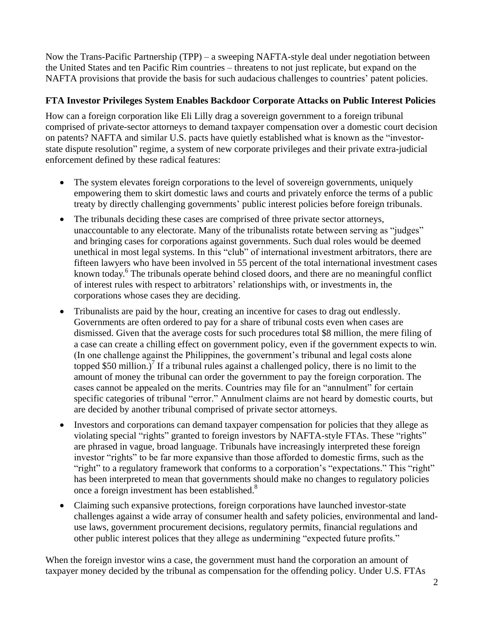Now the Trans-Pacific Partnership (TPP) – a sweeping NAFTA-style deal under negotiation between the United States and ten Pacific Rim countries – threatens to not just replicate, but expand on the NAFTA provisions that provide the basis for such audacious challenges to countries' patent policies.

## **FTA Investor Privileges System Enables Backdoor Corporate Attacks on Public Interest Policies**

How can a foreign corporation like Eli Lilly drag a sovereign government to a foreign tribunal comprised of private-sector attorneys to demand taxpayer compensation over a domestic court decision on patents? NAFTA and similar U.S. pacts have quietly established what is known as the "investorstate dispute resolution" regime, a system of new corporate privileges and their private extra-judicial enforcement defined by these radical features:

- The system elevates foreign corporations to the level of sovereign governments, uniquely empowering them to skirt domestic laws and courts and privately enforce the terms of a public treaty by directly challenging governments' public interest policies before foreign tribunals.
- The tribunals deciding these cases are comprised of three private sector attorneys, unaccountable to any electorate. Many of the tribunalists rotate between serving as "judges" and bringing cases for corporations against governments. Such dual roles would be deemed unethical in most legal systems. In this "club" of international investment arbitrators, there are fifteen lawyers who have been involved in 55 percent of the total international investment cases known today.<sup>6</sup> The tribunals operate behind closed doors, and there are no meaningful conflict of interest rules with respect to arbitrators' relationships with, or investments in, the corporations whose cases they are deciding.
- Tribunalists are paid by the hour, creating an incentive for cases to drag out endlessly. Governments are often ordered to pay for a share of tribunal costs even when cases are dismissed. Given that the average costs for such procedures total \$8 million, the mere filing of a case can create a chilling effect on government policy, even if the government expects to win. (In one challenge against the Philippines, the government's tribunal and legal costs alone topped \$50 million.)<sup>7</sup> If a tribunal rules against a challenged policy, there is no limit to the amount of money the tribunal can order the government to pay the foreign corporation. The cases cannot be appealed on the merits. Countries may file for an "annulment" for certain specific categories of tribunal "error." Annulment claims are not heard by domestic courts, but are decided by another tribunal comprised of private sector attorneys.
- Investors and corporations can demand taxpayer compensation for policies that they allege as violating special "rights" granted to foreign investors by NAFTA-style FTAs. These "rights" are phrased in vague, broad language. Tribunals have increasingly interpreted these foreign investor "rights" to be far more expansive than those afforded to domestic firms, such as the "right" to a regulatory framework that conforms to a corporation's "expectations." This "right" has been interpreted to mean that governments should make no changes to regulatory policies once a foreign investment has been established.<sup>8</sup>
- Claiming such expansive protections, foreign corporations have launched investor-state challenges against a wide array of consumer health and safety policies, environmental and landuse laws, government procurement decisions, regulatory permits, financial regulations and other public interest polices that they allege as undermining "expected future profits."

When the foreign investor wins a case, the government must hand the corporation an amount of taxpayer money decided by the tribunal as compensation for the offending policy. Under U.S. FTAs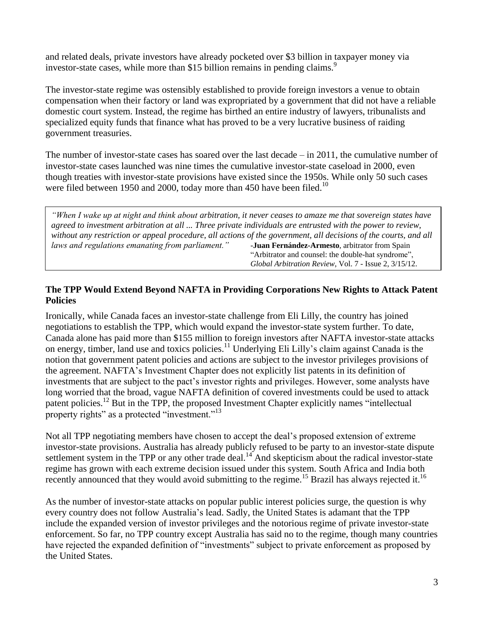and related deals, private investors have already pocketed over \$3 billion in taxpayer money via investor-state cases, while more than \$15 billion remains in pending claims.<sup>9</sup>

The investor-state regime was ostensibly established to provide foreign investors a venue to obtain compensation when their factory or land was expropriated by a government that did not have a reliable domestic court system. Instead, the regime has birthed an entire industry of lawyers, tribunalists and specialized equity funds that finance what has proved to be a very lucrative business of raiding government treasuries.

The number of investor-state cases has soared over the last decade – in 2011, the cumulative number of investor-state cases launched was nine times the cumulative investor-state caseload in 2000, even though treaties with investor-state provisions have existed since the 1950s. While only 50 such cases were filed between 1950 and 2000, today more than 450 have been filed.<sup>10</sup>

*"When I wake up at night and think about arbitration, it never ceases to amaze me that sovereign states have agreed to investment arbitration at all ... Three private individuals are entrusted with the power to review, without any restriction or appeal procedure, all actions of the government, all decisions of the courts, and all laws and regulations emanating from parliament."* -**Juan Fernández-Armesto**, arbitrator from Spain "Arbitrator and counsel: the double-hat syndrome", *Global Arbitration Review*, Vol. 7 - Issue 2, 3/15/12.

#### **The TPP Would Extend Beyond NAFTA in Providing Corporations New Rights to Attack Patent Policies**

Ironically, while Canada faces an investor-state challenge from Eli Lilly, the country has joined negotiations to establish the TPP, which would expand the investor-state system further. To date, Canada alone has paid more than \$155 million to foreign investors after NAFTA investor-state attacks on energy, timber, land use and toxics policies.<sup>11</sup> Underlying Eli Lilly's claim against Canada is the notion that government patent policies and actions are subject to the investor privileges provisions of the agreement. NAFTA's Investment Chapter does not explicitly list patents in its definition of investments that are subject to the pact's investor rights and privileges. However, some analysts have long worried that the broad, vague NAFTA definition of covered investments could be used to attack patent policies.<sup>12</sup> But in the TPP, the proposed Investment Chapter explicitly names "intellectual property rights" as a protected "investment."<sup>13</sup>

Not all TPP negotiating members have chosen to accept the deal's proposed extension of extreme investor-state provisions. Australia has already publicly refused to be party to an investor-state dispute settlement system in the TPP or any other trade deal.<sup>14</sup> And skepticism about the radical investor-state regime has grown with each extreme decision issued under this system. South Africa and India both recently announced that they would avoid submitting to the regime.<sup>15</sup> Brazil has always rejected it.<sup>16</sup>

As the number of investor-state attacks on popular public interest policies surge, the question is why every country does not follow Australia's lead. Sadly, the United States is adamant that the TPP include the expanded version of investor privileges and the notorious regime of private investor-state enforcement. So far, no TPP country except Australia has said no to the regime, though many countries have rejected the expanded definition of "investments" subject to private enforcement as proposed by the United States.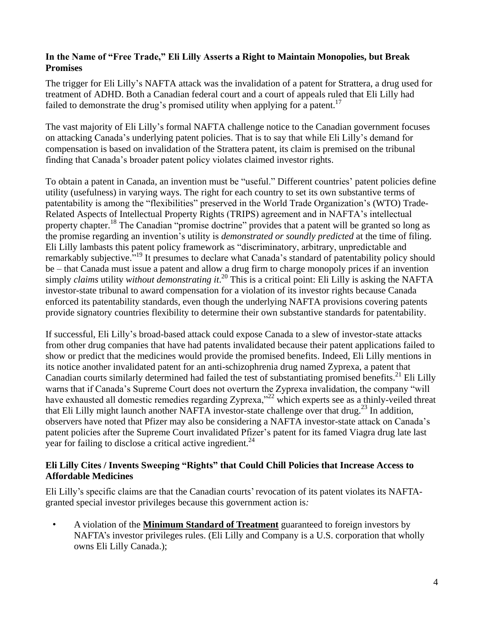## **In the Name of "Free Trade," Eli Lilly Asserts a Right to Maintain Monopolies, but Break Promises**

The trigger for Eli Lilly's NAFTA attack was the invalidation of a patent for Strattera, a drug used for treatment of ADHD. Both a Canadian federal court and a court of appeals ruled that Eli Lilly had failed to demonstrate the drug's promised utility when applying for a patent.<sup>17</sup>

The vast majority of Eli Lilly's formal NAFTA challenge notice to the Canadian government focuses on attacking Canada's underlying patent policies. That is to say that while Eli Lilly's demand for compensation is based on invalidation of the Strattera patent, its claim is premised on the tribunal finding that Canada's broader patent policy violates claimed investor rights.

To obtain a patent in Canada, an invention must be "useful." Different countries' patent policies define utility (usefulness) in varying ways. The right for each country to set its own substantive terms of patentability is among the "flexibilities" preserved in the World Trade Organization's (WTO) Trade-Related Aspects of Intellectual Property Rights (TRIPS) agreement and in NAFTA's intellectual property chapter.<sup>18</sup> The Canadian "promise doctrine" provides that a patent will be granted so long as the promise regarding an invention's utility is *demonstrated or soundly predicted* at the time of filing. Eli Lilly lambasts this patent policy framework as "discriminatory, arbitrary, unpredictable and remarkably subjective."<sup>19</sup> It presumes to declare what Canada's standard of patentability policy should be – that Canada must issue a patent and allow a drug firm to charge monopoly prices if an invention simply *claims* utility *without demonstrating it*. <sup>20</sup> This is a critical point: Eli Lilly is asking the NAFTA investor-state tribunal to award compensation for a violation of its investor rights because Canada enforced its patentability standards, even though the underlying NAFTA provisions covering patents provide signatory countries flexibility to determine their own substantive standards for patentability.

If successful, Eli Lilly's broad-based attack could expose Canada to a slew of investor-state attacks from other drug companies that have had patents invalidated because their patent applications failed to show or predict that the medicines would provide the promised benefits. Indeed, Eli Lilly mentions in its notice another invalidated patent for an anti-schizophrenia drug named Zyprexa, a patent that Canadian courts similarly determined had failed the test of substantiating promised benefits.<sup>21</sup> Eli Lilly warns that if Canada's Supreme Court does not overturn the Zyprexa invalidation, the company "will have exhausted all domestic remedies regarding Zyprexa,"<sup>22</sup> which experts see as a thinly-veiled threat that Eli Lilly might launch another NAFTA investor-state challenge over that drug.<sup>23</sup> In addition, observers have noted that Pfizer may also be considering a NAFTA investor-state attack on Canada's patent policies after the Supreme Court invalidated Pfizer's patent for its famed Viagra drug late last year for failing to disclose a critical active ingredient. $^{24}$ 

## **Eli Lilly Cites / Invents Sweeping "Rights" that Could Chill Policies that Increase Access to Affordable Medicines**

Eli Lilly's specific claims are that the Canadian courts' revocation of its patent violates its NAFTAgranted special investor privileges because this government action is*:*

• A violation of the **Minimum Standard of Treatment** guaranteed to foreign investors by NAFTA's investor privileges rules. (Eli Lilly and Company is a U.S. corporation that wholly owns Eli Lilly Canada.);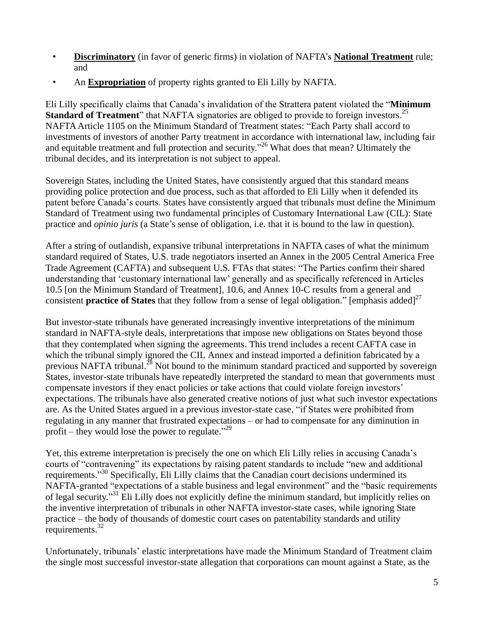- **Discriminatory** (in favor of generic firms) in violation of NAFTA's **National Treatment** rule; and
- An **Expropriation** of property rights granted to Eli Lilly by NAFTA.

Eli Lilly specifically claims that Canada's invalidation of the Strattera patent violated the "**Minimum Standard of Treatment**" that NAFTA signatories are obliged to provide to foreign investors.<sup>25</sup> NAFTA Article 1105 on the Minimum Standard of Treatment states: "Each Party shall accord to investments of investors of another Party treatment in accordance with international law, including fair and equitable treatment and full protection and security."<sup>26</sup> What does that mean? Ultimately the tribunal decides, and its interpretation is not subject to appeal.

Sovereign States, including the United States, have consistently argued that this standard means providing police protection and due process, such as that afforded to Eli Lilly when it defended its patent before Canada's courts. States have consistently argued that tribunals must define the Minimum Standard of Treatment using two fundamental principles of Customary International Law (CIL): State practice and *opinio juris* (a State's sense of obligation, i.e. that it is bound to the law in question).

After a string of outlandish, expansive tribunal interpretations in NAFTA cases of what the minimum standard required of States, U.S. trade negotiators inserted an Annex in the 2005 Central America Free Trade Agreement (CAFTA) and subsequent U.S. FTAs that states: "The Parties confirm their shared understanding that 'customary international law' generally and as specifically referenced in Articles 10.5 [on the Minimum Standard of Treatment], 10.6, and Annex 10-C results from a general and consistent **practice of States** that they follow from a sense of legal obligation." [emphasis added]<sup>27</sup>

But investor-state tribunals have generated increasingly inventive interpretations of the minimum standard in NAFTA-style deals, interpretations that impose new obligations on States beyond those that they contemplated when signing the agreements. This trend includes a recent CAFTA case in which the tribunal simply ignored the CIL Annex and instead imported a definition fabricated by a previous NAFTA tribunal.<sup>28</sup> Not bound to the minimum standard practiced and supported by sovereign States, investor-state tribunals have repeatedly interpreted the standard to mean that governments must compensate investors if they enact policies or take actions that could violate foreign investors' expectations. The tribunals have also generated creative notions of just what such investor expectations are. As the United States argued in a previous investor-state case, "if States were prohibited from regulating in any manner that frustrated expectations – or had to compensate for any diminution in profit – they would lose the power to regulate."<sup>29</sup>

Yet, this extreme interpretation is precisely the one on which Eli Lilly relies in accusing Canada's courts of "contravening" its expectations by raising patent standards to include "new and additional requirements."<sup>30</sup> Specifically, Eli Lilly claims that the Canadian court decisions undermined its NAFTA-granted "expectations of a stable business and legal environment" and the "basic requirements of legal security."<sup>31</sup> Eli Lilly does not explicitly define the minimum standard, but implicitly relies on the inventive interpretation of tribunals in other NAFTA investor-state cases, while ignoring State practice – the body of thousands of domestic court cases on patentability standards and utility requirements.<sup>32</sup>

Unfortunately, tribunals' elastic interpretations have made the Minimum Standard of Treatment claim the single most successful investor-state allegation that corporations can mount against a State, as the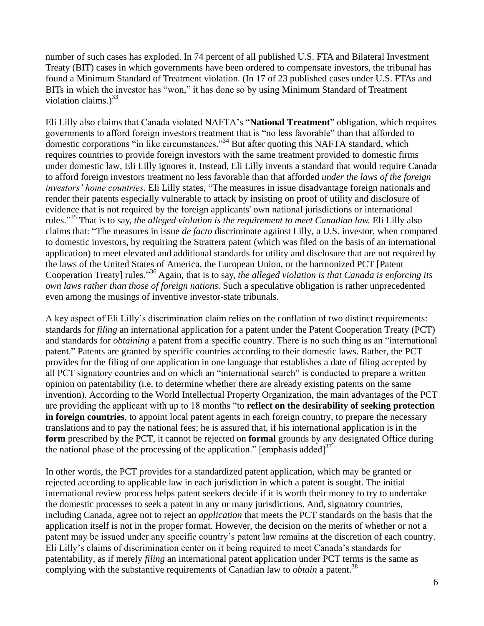number of such cases has exploded. In 74 percent of all published U.S. FTA and Bilateral Investment Treaty (BIT) cases in which governments have been ordered to compensate investors, the tribunal has found a Minimum Standard of Treatment violation. (In 17 of 23 published cases under U.S. FTAs and BITs in which the investor has "won," it has done so by using Minimum Standard of Treatment violation claims.) $33$ 

Eli Lilly also claims that Canada violated NAFTA's "**National Treatment**" obligation, which requires governments to afford foreign investors treatment that is "no less favorable" than that afforded to domestic corporations "in like circumstances."<sup>34</sup> But after quoting this NAFTA standard, which requires countries to provide foreign investors with the same treatment provided to domestic firms under domestic law, Eli Lilly ignores it. Instead, Eli Lilly invents a standard that would require Canada to afford foreign investors treatment no less favorable than that afforded *under the laws of the foreign investors' home countries*. Eli Lilly states, "The measures in issue disadvantage foreign nationals and render their patents especially vulnerable to attack by insisting on proof of utility and disclosure of evidence that is not required by the foreign applicants' own national jurisdictions or international rules." <sup>35</sup> That is to say, *the alleged violation is the requirement to meet Canadian law.* Eli Lilly also claims that: "The measures in issue *de facto* discriminate against Lilly, a U.S. investor, when compared to domestic investors, by requiring the Strattera patent (which was filed on the basis of an international application) to meet elevated and additional standards for utility and disclosure that are not required by the laws of the United States of America, the European Union, or the harmonized PCT [Patent Cooperation Treaty] rules."<sup>36</sup> Again, that is to say, *the alleged violation is that Canada is enforcing its own laws rather than those of foreign nations.* Such a speculative obligation is rather unprecedented even among the musings of inventive investor-state tribunals.

A key aspect of Eli Lilly's discrimination claim relies on the conflation of two distinct requirements: standards for *filing* an international application for a patent under the Patent Cooperation Treaty (PCT) and standards for *obtaining* a patent from a specific country. There is no such thing as an "international patent." Patents are granted by specific countries according to their domestic laws. Rather, the PCT provides for the filing of one application in one language that establishes a date of filing accepted by all PCT signatory countries and on which an "international search" is conducted to prepare a written opinion on patentability (i.e. to determine whether there are already existing patents on the same invention). According to the World Intellectual Property Organization, the main advantages of the PCT are providing the applicant with up to 18 months "to **reflect on the desirability of seeking protection in foreign countries**, to appoint local patent agents in each foreign country, to prepare the necessary translations and to pay the national fees; he is assured that, if his international application is in the **form** prescribed by the PCT, it cannot be rejected on **formal** grounds by any designated Office during the national phase of the processing of the application." [emphasis added]<sup>37</sup>

In other words, the PCT provides for a standardized patent application, which may be granted or rejected according to applicable law in each jurisdiction in which a patent is sought. The initial international review process helps patent seekers decide if it is worth their money to try to undertake the domestic processes to seek a patent in any or many jurisdictions. And, signatory countries, including Canada, agree not to reject an *application* that meets the PCT standards on the basis that the application itself is not in the proper format. However, the decision on the merits of whether or not a patent may be issued under any specific country's patent law remains at the discretion of each country. Eli Lilly's claims of discrimination center on it being required to meet Canada's standards for patentability, as if merely *filing* an international patent application under PCT terms is the same as complying with the substantive requirements of Canadian law to *obtain* a patent.<sup>38</sup>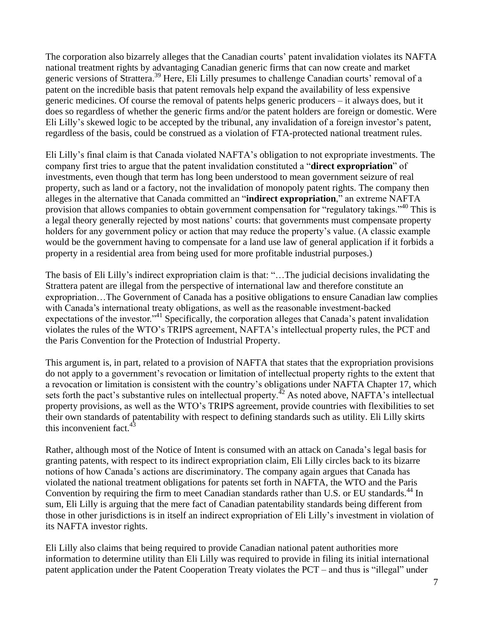The corporation also bizarrely alleges that the Canadian courts' patent invalidation violates its NAFTA national treatment rights by advantaging Canadian generic firms that can now create and market generic versions of Strattera.<sup>39</sup> Here, Eli Lilly presumes to challenge Canadian courts' removal of a patent on the incredible basis that patent removals help expand the availability of less expensive generic medicines. Of course the removal of patents helps generic producers – it always does, but it does so regardless of whether the generic firms and/or the patent holders are foreign or domestic. Were Eli Lilly's skewed logic to be accepted by the tribunal, any invalidation of a foreign investor's patent, regardless of the basis, could be construed as a violation of FTA-protected national treatment rules.

Eli Lilly's final claim is that Canada violated NAFTA's obligation to not expropriate investments. The company first tries to argue that the patent invalidation constituted a "**direct expropriation**" of investments, even though that term has long been understood to mean government seizure of real property, such as land or a factory, not the invalidation of monopoly patent rights. The company then alleges in the alternative that Canada committed an "**indirect expropriation**," an extreme NAFTA provision that allows companies to obtain government compensation for "regulatory takings."<sup>40</sup> This is a legal theory generally rejected by most nations' courts: that governments must compensate property holders for any government policy or action that may reduce the property's value. (A classic example would be the government having to compensate for a land use law of general application if it forbids a property in a residential area from being used for more profitable industrial purposes.)

The basis of Eli Lilly's indirect expropriation claim is that: "…The judicial decisions invalidating the Strattera patent are illegal from the perspective of international law and therefore constitute an expropriation…The Government of Canada has a positive obligations to ensure Canadian law complies with Canada's international treaty obligations, as well as the reasonable investment-backed expectations of the investor."<sup>41</sup> Specifically, the corporation alleges that Canada's patent invalidation violates the rules of the WTO's TRIPS agreement, NAFTA's intellectual property rules, the PCT and the Paris Convention for the Protection of Industrial Property.

This argument is, in part, related to a provision of NAFTA that states that the expropriation provisions do not apply to a government's revocation or limitation of intellectual property rights to the extent that a revocation or limitation is consistent with the country's obligations under NAFTA Chapter 17, which sets forth the pact's substantive rules on intellectual property.<sup> $42$ </sup> As noted above, NAFTA's intellectual property provisions, as well as the WTO's TRIPS agreement, provide countries with flexibilities to set their own standards of patentability with respect to defining standards such as utility. Eli Lilly skirts this inconvenient fact. $43$ 

Rather, although most of the Notice of Intent is consumed with an attack on Canada's legal basis for granting patents, with respect to its indirect expropriation claim, Eli Lilly circles back to its bizarre notions of how Canada's actions are discriminatory. The company again argues that Canada has violated the national treatment obligations for patents set forth in NAFTA, the WTO and the Paris Convention by requiring the firm to meet Canadian standards rather than U.S. or EU standards.<sup>44</sup> In sum, Eli Lilly is arguing that the mere fact of Canadian patentability standards being different from those in other jurisdictions is in itself an indirect expropriation of Eli Lilly's investment in violation of its NAFTA investor rights.

Eli Lilly also claims that being required to provide Canadian national patent authorities more information to determine utility than Eli Lilly was required to provide in filing its initial international patent application under the Patent Cooperation Treaty violates the PCT – and thus is "illegal" under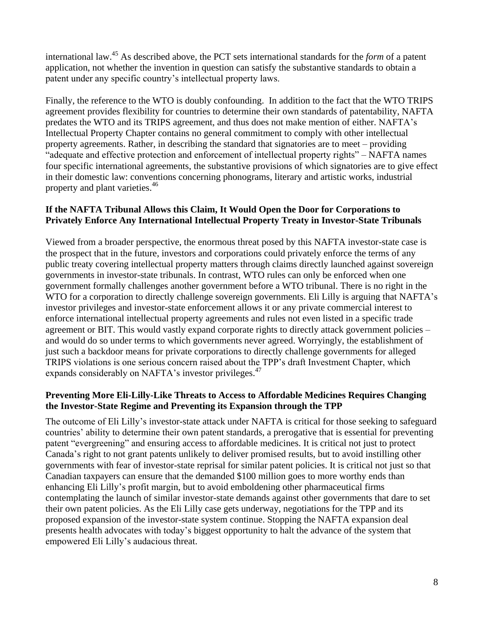international law. <sup>45</sup> As described above, the PCT sets international standards for the *form* of a patent application, not whether the invention in question can satisfy the substantive standards to obtain a patent under any specific country's intellectual property laws.

Finally, the reference to the WTO is doubly confounding. In addition to the fact that the WTO TRIPS agreement provides flexibility for countries to determine their own standards of patentability, NAFTA predates the WTO and its TRIPS agreement, and thus does not make mention of either. NAFTA's Intellectual Property Chapter contains no general commitment to comply with other intellectual property agreements. Rather, in describing the standard that signatories are to meet – providing "adequate and effective protection and enforcement of intellectual property rights" – NAFTA names four specific international agreements, the substantive provisions of which signatories are to give effect in their domestic law: conventions concerning phonograms, literary and artistic works, industrial property and plant varieties.<sup>46</sup>

## **If the NAFTA Tribunal Allows this Claim, It Would Open the Door for Corporations to Privately Enforce Any International Intellectual Property Treaty in Investor-State Tribunals**

Viewed from a broader perspective, the enormous threat posed by this NAFTA investor-state case is the prospect that in the future, investors and corporations could privately enforce the terms of any public treaty covering intellectual property matters through claims directly launched against sovereign governments in investor-state tribunals. In contrast, WTO rules can only be enforced when one government formally challenges another government before a WTO tribunal. There is no right in the WTO for a corporation to directly challenge sovereign governments. Eli Lilly is arguing that NAFTA's investor privileges and investor-state enforcement allows it or any private commercial interest to enforce international intellectual property agreements and rules not even listed in a specific trade agreement or BIT. This would vastly expand corporate rights to directly attack government policies – and would do so under terms to which governments never agreed. Worryingly, the establishment of just such a backdoor means for private corporations to directly challenge governments for alleged TRIPS violations is one serious concern raised about the TPP's draft Investment Chapter, which expands considerably on NAFTA's investor privileges.<sup>47</sup>

## **Preventing More Eli-Lilly-Like Threats to Access to Affordable Medicines Requires Changing the Investor-State Regime and Preventing its Expansion through the TPP**

The outcome of Eli Lilly's investor-state attack under NAFTA is critical for those seeking to safeguard countries' ability to determine their own patent standards, a prerogative that is essential for preventing patent "evergreening" and ensuring access to affordable medicines. It is critical not just to protect Canada's right to not grant patents unlikely to deliver promised results, but to avoid instilling other governments with fear of investor-state reprisal for similar patent policies. It is critical not just so that Canadian taxpayers can ensure that the demanded \$100 million goes to more worthy ends than enhancing Eli Lilly's profit margin, but to avoid emboldening other pharmaceutical firms contemplating the launch of similar investor-state demands against other governments that dare to set their own patent policies. As the Eli Lilly case gets underway, negotiations for the TPP and its proposed expansion of the investor-state system continue. Stopping the NAFTA expansion deal presents health advocates with today's biggest opportunity to halt the advance of the system that empowered Eli Lilly's audacious threat.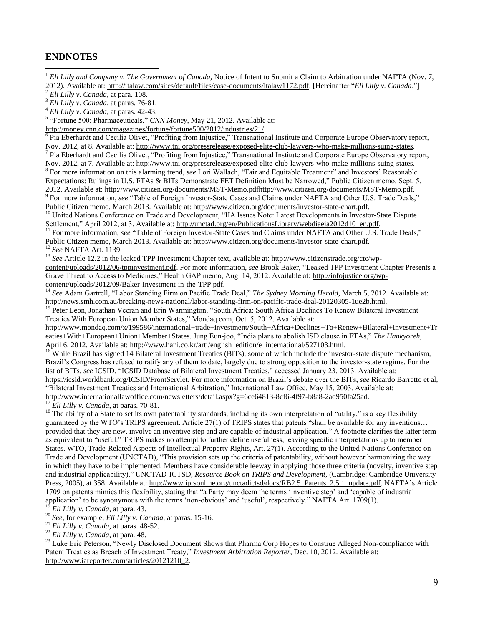#### **ENDNOTES**

 $\overline{a}$ 

<sup>1</sup> Eli Lilly and Company v. The Government of Canada, Notice of Intent to Submit a Claim to Arbitration under NAFTA (Nov. 7, 2012). Available at[: http://italaw.com/sites/default/files/case-documents/italaw1172.pdf.](http://italaw.com/sites/default/files/case-documents/italaw1172.pdf) [Hereinafter "*Eli Lilly v. Canada*."]

2 *Eli Lilly v. Canada*, at para. 108.

3 *Eli Lilly v. Canada*, at paras. 76-81.

4 *Eli Lilly v. Canada*, at paras. 42-43.

<sup>5</sup> "Fortune 500: Pharmaceuticals," *CNN Money*, May 21, 2012. Available at:

[http://money.cnn.com/magazines/fortune/fortune500/2012/industries/21/.](http://money.cnn.com/magazines/fortune/fortune500/2012/industries/21/)<br><sup>6</sup> Pia Eberhardt and Cecilia Olivet, "Profiting from Injustice," Transnational Institute and Corporate Europe Observatory report, Nov. 2012, at 8. Available at: [http://www.tni.org/pressrelease/exposed-elite-club-lawyers-who-make-millions-suing-states.](http://www.tni.org/pressrelease/exposed-elite-club-lawyers-who-make-millions-suing-states)<br><sup>7</sup> Pia Eberhardt and Cecilia Olivet, "Profiting from Injustice," Transnational Institute and Corpor

Nov. 2012, at 7. Available at: [http://www.tni.org/pressrelease/exposed-elite-club-lawyers-who-make-millions-suing-states.](http://www.tni.org/pressrelease/exposed-elite-club-lawyers-who-make-millions-suing-states) <sup>8</sup> For more information on this alarming trend, *see* Lori Wallach, "Fair and Equitable Treatment" and Investors' Reasonable

Expectations: Rulings in U.S. FTAs & BITs Demonstrate FET Definition Must be Narrowed," Public Citizen memo, Sept. 5, 2012. Available at[: http://www.citizen.org/documents/MST-Memo.pdfhttp://www.citizen.org/documents/MST-Memo.pdf.](http://www.citizen.org/documents/MST-Memo.pdf)  <sup>9</sup> For more information, *see* "Table of Foreign Investor-State Cases and Claims under NAFTA and Other U.S. Trade Deals,"

Public Citizen memo, March 2013. Available at[: http://www.citizen.org/documents/investor-state-chart.pdf.](http://www.citizen.org/documents/investor-state-chart.pdf) 

<sup>10</sup> United Nations Conference on Trade and Development, "IIA Issues Note: Latest Developments in Investor-State Dispute Settlement," April 2012, at 3. Available at: [http://unctad.org/en/PublicationsLibrary/webdiaeia2012d10\\_en.pdf.](http://unctad.org/en/PublicationsLibrary/webdiaeia2012d10_en.pdf)

<sup>11</sup> For more information, see "Table of Foreign Investor-State Cases and Claims under NAFTA and Other U.S. Trade Deals," Public Citizen memo, March 2013. Available at[: http://www.citizen.org/documents/investor-state-chart.pdf.](http://www.citizen.org/documents/investor-state-chart.pdf) 

<sup>12</sup> *See* NAFTA Art. 1139.

<sup>13</sup> See Article 12.2 in the leaked TPP Investment Chapter text, available at: [http://www.citizenstrade.org/ctc/wp](http://www.citizenstrade.org/ctc/wp-content/uploads/2012/06/tppinvestment.pdf)[content/uploads/2012/06/tppinvestment.pdf.](http://www.citizenstrade.org/ctc/wp-content/uploads/2012/06/tppinvestment.pdf) For more information, *see* Brook Baker, "Leaked TPP Investment Chapter Presents a Grave Threat to Access to Medicines," Health GAP memo, Aug. 14, 2012. Available at: [http://infojustice.org/wp](http://infojustice.org/wp-content/uploads/2012/09/Baker-Investment-in-the-TPP.pdf)[content/uploads/2012/09/Baker-Investment-in-the-TPP.pdf.](http://infojustice.org/wp-content/uploads/2012/09/Baker-Investment-in-the-TPP.pdf)

<sup>14</sup> See Adam Gartrell, "Labor Standing Firm on Pacific Trade Deal," *The Sydney Morning Herald*, March 5, 2012. Available at: [http://news.smh.com.au/breaking-news-national/labor-standing-firm-on-pacific-trade-deal-20120305-1ue2b.html.](http://news.smh.com.au/breaking-news-national/labor-standing-firm-on-pacific-trade-deal-20120305-1ue2b.html) 

<sup>15</sup> Peter Leon, Jonathan Veeran and Erin Warmington, "South Africa: South Africa Declines To Renew Bilateral Investment Treaties With European Union Member States," Mondaq.com, Oct. 5, 2012. Available at:

[http://www.mondaq.com/x/199586/international+trade+investment/South+Africa+Declines+To+Renew+Bilateral+Investment+Tr](http://www.mondaq.com/x/199586/international+trade+investment/South+Africa+Declines+To+Renew+Bilateral+Investment+Treaties+With+European+Union+Member+States) [eaties+With+European+Union+Member+States.](http://www.mondaq.com/x/199586/international+trade+investment/South+Africa+Declines+To+Renew+Bilateral+Investment+Treaties+With+European+Union+Member+States) Jung Eun-joo, "India plans to abolish ISD clause in FTAs," *The Hankyoreh*, April 6, 2012. Available at: [http://www.hani.co.kr/arti/english\\_edition/e\\_international/527103.html.](http://www.hani.co.kr/arti/english_edition/e_international/527103.html)

<sup>16</sup> While Brazil has signed 14 Bilateral Investment Treaties (BITs), some of which include the investor-state dispute mechanism, Brazil's Congress has refused to ratify any of them to date, largely due to strong opposition to the investor-state regime. For the list of BITs, *see* ICSID, "ICSID Database of Bilateral Investment Treaties," accessed January 23, 2013. Available at: [https://icsid.worldbank.org/ICSID/FrontServlet.](https://icsid.worldbank.org/ICSID/FrontServlet) For more information on Brazil's debate over the BITs, *see* Ricardo Barretto et al, "Bilateral Investment Treaties and International Arbitration," International Law Office, May 15, 2003. Available at: [http://www.internationallawoffice.com/newsletters/detail.aspx?g=6ce64813-8cf6-4f97-b8a8-2ad950fa25ad.](http://www.internationallawoffice.com/newsletters/detail.aspx?g=6ce64813-8cf6-4f97-b8a8-2ad950fa25ad) 

<sup>17</sup> *Eli Lilly v. Canada*, at paras. 70-81.

<sup>18</sup> The ability of a State to set its own patentability standards, including its own interpretation of "utility," is a key flexibility guaranteed by the WTO's TRIPS agreement. Article 27(1) of TRIPS states that patents "shall be available for any inventions… provided that they are new, involve an inventive step and are capable of industrial application." A footnote clarifies the latter term as equivalent to "useful." TRIPS makes no attempt to further define usefulness, leaving specific interpretations up to member States. WTO, Trade-Related Aspects of Intellectual Property Rights, Art. 27(1). According to the United Nations Conference on Trade and Development (UNCTAD), "This provision sets up the criteria of patentability, without however harmonizing the way in which they have to be implemented. Members have considerable leeway in applying those three criteria (novelty, inventive step and industrial applicability)." UNCTAD-ICTSD, *Resource Book on TRIPS and Development*, (Cambridge: Cambridge University Press, 2005), at 358. Available at[: http://www.iprsonline.org/unctadictsd/docs/RB2.5\\_Patents\\_2.5.1\\_update.pdf.](http://www.iprsonline.org/unctadictsd/docs/RB2.5_Patents_2.5.1_update.pdf) NAFTA's Article 1709 on patents mimics this flexibility, stating that "a Party may deem the terms 'inventive step' and 'capable of industrial application' to be synonymous with the terms 'non-obvious' and 'useful', respectively." NAFTA Art. 1709(1). <sup>19</sup> *Eli Lilly v. Canada*, at para. 43.

<sup>20</sup> *See,* for example, *Eli Lilly v. Canada*, at paras. 15-16.

<sup>21</sup> *Eli Lilly v. Canada*, at paras. 48-52.

<sup>22</sup> *Eli Lilly v. Canada*, at para. 48.

<sup>23</sup> Luke Eric Peterson, "Newly Disclosed Document Shows that Pharma Corp Hopes to Construe Alleged Non-compliance with Patent Treaties as Breach of Investment Treaty," *Investment Arbitration Reporter*, Dec. 10, 2012. Available at: [http://www.iareporter.com/articles/20121210\\_2.](http://www.iareporter.com/articles/20121210_2)